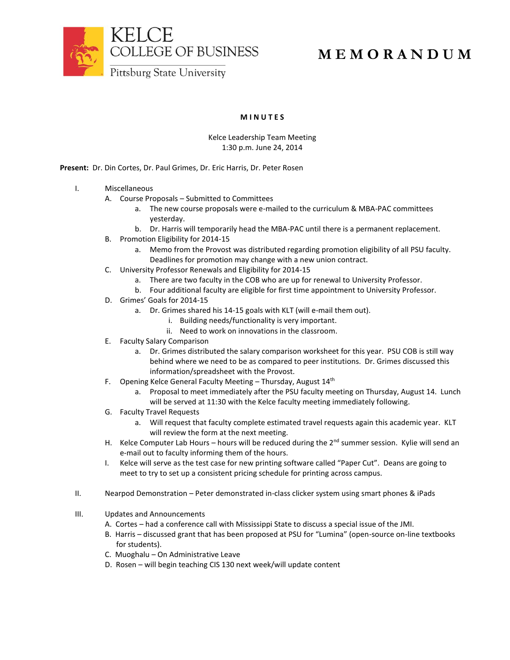



## **M E M O R A N D U M**

**M I N U T E S**

## Kelce Leadership Team Meeting 1:30 p.m. June 24, 2014

**Present:** Dr. Din Cortes, Dr. Paul Grimes, Dr. Eric Harris, Dr. Peter Rosen

- I. Miscellaneous
	- A. Course Proposals Submitted to Committees
		- a. The new course proposals were e-mailed to the curriculum & MBA-PAC committees yesterday.
		- b. Dr. Harris will temporarily head the MBA-PAC until there is a permanent replacement.
	- B. Promotion Eligibility for 2014-15
		- a. Memo from the Provost was distributed regarding promotion eligibility of all PSU faculty. Deadlines for promotion may change with a new union contract.
	- C. University Professor Renewals and Eligibility for 2014-15
		- a. There are two faculty in the COB who are up for renewal to University Professor.
		- b. Four additional faculty are eligible for first time appointment to University Professor.
	- D. Grimes' Goals for 2014-15
		- a. Dr. Grimes shared his 14-15 goals with KLT (will e-mail them out).
			- i. Building needs/functionality is very important.
			- ii. Need to work on innovations in the classroom.
	- E. Faculty Salary Comparison
		- a. Dr. Grimes distributed the salary comparison worksheet for this year. PSU COB is still way behind where we need to be as compared to peer institutions. Dr. Grimes discussed this information/spreadsheet with the Provost.
	- F. Opening Kelce General Faculty Meeting  $-$  Thursday, August 14<sup>th</sup>
		- a. Proposal to meet immediately after the PSU faculty meeting on Thursday, August 14. Lunch will be served at 11:30 with the Kelce faculty meeting immediately following.
	- G. Faculty Travel Requests
		- a. Will request that faculty complete estimated travel requests again this academic year. KLT will review the form at the next meeting.
	- H. Kelce Computer Lab Hours hours will be reduced during the 2<sup>nd</sup> summer session. Kylie will send an e-mail out to faculty informing them of the hours.
	- I. Kelce will serve as the test case for new printing software called "Paper Cut". Deans are going to meet to try to set up a consistent pricing schedule for printing across campus.
- II. Nearpod Demonstration Peter demonstrated in-class clicker system using smart phones & iPads
- III. Updates and Announcements
	- A. Cortes had a conference call with Mississippi State to discuss a special issue of the JMI.
	- B. Harris discussed grant that has been proposed at PSU for "Lumina" (open-source on-line textbooks for students).
	- C. Muoghalu On Administrative Leave
	- D. Rosen will begin teaching CIS 130 next week/will update content